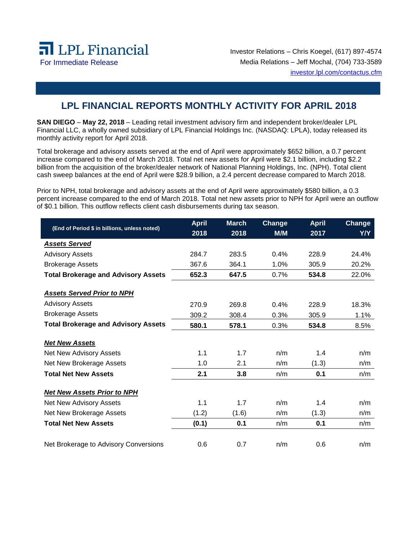

Investor Relations – Chris Koegel, (617) 897-4574 For Immediate Release Media Relations – Jeff Mochal, (704) 733-3589 investor.lpl.com/contactus.cfm

## **LPL FINANCIAL REPORTS MONTHLY ACTIVITY FOR APRIL 2018**

**SAN DIEGO** – **May 22, 2018** – Leading retail investment advisory firm and independent broker/dealer LPL Financial LLC, a wholly owned subsidiary of LPL Financial Holdings Inc. (NASDAQ: LPLA), today released its monthly activity report for April 2018.

Total brokerage and advisory assets served at the end of April were approximately \$652 billion, a 0.7 percent increase compared to the end of March 2018. Total net new assets for April were \$2.1 billion, including \$2.2 billion from the acquisition of the broker/dealer network of National Planning Holdings, Inc. (NPH). Total client cash sweep balances at the end of April were \$28.9 billion, a 2.4 percent decrease compared to March 2018.

Prior to NPH, total brokerage and advisory assets at the end of April were approximately \$580 billion, a 0.3 percent increase compared to the end of March 2018. Total net new assets prior to NPH for April were an outflow of \$0.1 billion. This outflow reflects client cash disbursements during tax season.

| (End of Period \$ in billions, unless noted) | <b>April</b> | <b>March</b> | Change | <b>April</b> | Change |
|----------------------------------------------|--------------|--------------|--------|--------------|--------|
|                                              | 2018         | 2018         | M/M    | 2017         | Y/Y    |
| <b>Assets Served</b>                         |              |              |        |              |        |
| <b>Advisory Assets</b>                       | 284.7        | 283.5        | 0.4%   | 228.9        | 24.4%  |
| <b>Brokerage Assets</b>                      | 367.6        | 364.1        | 1.0%   | 305.9        | 20.2%  |
| <b>Total Brokerage and Advisory Assets</b>   | 652.3        | 647.5        | 0.7%   | 534.8        | 22.0%  |
| <b>Assets Served Prior to NPH</b>            |              |              |        |              |        |
| <b>Advisory Assets</b>                       | 270.9        | 269.8        | 0.4%   | 228.9        | 18.3%  |
| <b>Brokerage Assets</b>                      | 309.2        | 308.4        | 0.3%   | 305.9        | 1.1%   |
| <b>Total Brokerage and Advisory Assets</b>   | 580.1        | 578.1        | 0.3%   | 534.8        | 8.5%   |
| <b>Net New Assets</b>                        |              |              |        |              |        |
| Net New Advisory Assets                      | 1.1          | 1.7          | n/m    | 1.4          | n/m    |
| Net New Brokerage Assets                     | 1.0          | 2.1          | n/m    | (1.3)        | n/m    |
| <b>Total Net New Assets</b>                  | 2.1          | 3.8          | n/m    | 0.1          | n/m    |
| <b>Net New Assets Prior to NPH</b>           |              |              |        |              |        |
| Net New Advisory Assets                      | 1.1          | 1.7          | n/m    | 1.4          | n/m    |
| Net New Brokerage Assets                     | (1.2)        | (1.6)        | n/m    | (1.3)        | n/m    |
| <b>Total Net New Assets</b>                  | (0.1)        | 0.1          | n/m    | 0.1          | n/m    |
|                                              |              |              |        |              |        |
| Net Brokerage to Advisory Conversions        | 0.6          | 0.7          | n/m    | 0.6          | n/m    |